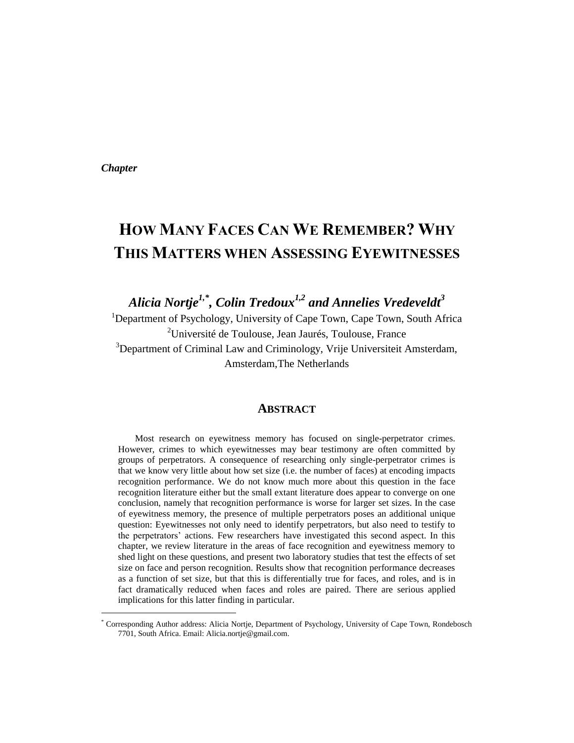*Chapter* 

l

# **HOW MANY FACES CAN WE REMEMBER? WHY THIS MATTERS WHEN ASSESSING EYEWITNESSES**

*Alicia Nortje1,\* , Colin Tredoux1,2 and Annelies Vredeveldt<sup>3</sup>*

<sup>1</sup>Department of Psychology, University of Cape Town, Cape Town, South Africa <sup>2</sup>Université de Toulouse, Jean Jaurés, Toulouse, France <sup>3</sup>Department of Criminal Law and Criminology, Vrije Universiteit Amsterdam, Amsterdam,The Netherlands

#### **ABSTRACT**

Most research on eyewitness memory has focused on single-perpetrator crimes. However, crimes to which eyewitnesses may bear testimony are often committed by groups of perpetrators. A consequence of researching only single-perpetrator crimes is that we know very little about how set size (i.e. the number of faces) at encoding impacts recognition performance. We do not know much more about this question in the face recognition literature either but the small extant literature does appear to converge on one conclusion, namely that recognition performance is worse for larger set sizes. In the case of eyewitness memory, the presence of multiple perpetrators poses an additional unique question: Eyewitnesses not only need to identify perpetrators, but also need to testify to the perpetrators' actions. Few researchers have investigated this second aspect. In this chapter, we review literature in the areas of face recognition and eyewitness memory to shed light on these questions, and present two laboratory studies that test the effects of set size on face and person recognition. Results show that recognition performance decreases as a function of set size, but that this is differentially true for faces, and roles, and is in fact dramatically reduced when faces and roles are paired. There are serious applied implications for this latter finding in particular.

<sup>\*</sup> Corresponding Author address: Alicia Nortje, Department of Psychology, University of Cape Town, Rondebosch 7701, South Africa. Email: Alicia.nortje@gmail.com.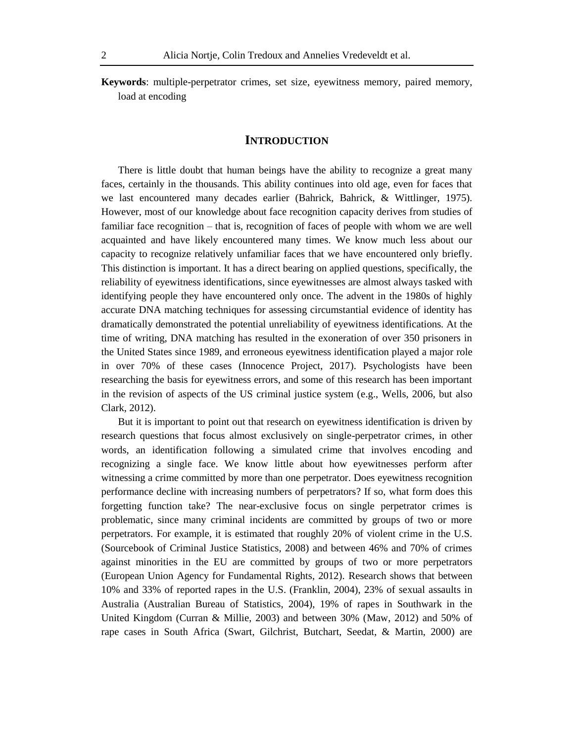**Keywords**: multiple-perpetrator crimes, set size, eyewitness memory, paired memory, load at encoding

#### **INTRODUCTION**

There is little doubt that human beings have the ability to recognize a great many faces, certainly in the thousands. This ability continues into old age, even for faces that we last encountered many decades earlier (Bahrick, Bahrick, & Wittlinger, 1975). However, most of our knowledge about face recognition capacity derives from studies of familiar face recognition – that is, recognition of faces of people with whom we are well acquainted and have likely encountered many times. We know much less about our capacity to recognize relatively unfamiliar faces that we have encountered only briefly. This distinction is important. It has a direct bearing on applied questions, specifically, the reliability of eyewitness identifications, since eyewitnesses are almost always tasked with identifying people they have encountered only once. The advent in the 1980s of highly accurate DNA matching techniques for assessing circumstantial evidence of identity has dramatically demonstrated the potential unreliability of eyewitness identifications. At the time of writing, DNA matching has resulted in the exoneration of over 350 prisoners in the United States since 1989, and erroneous eyewitness identification played a major role in over 70% of these cases (Innocence Project, 2017). Psychologists have been researching the basis for eyewitness errors, and some of this research has been important in the revision of aspects of the US criminal justice system (e.g., Wells, 2006, but also Clark, 2012).

But it is important to point out that research on eyewitness identification is driven by research questions that focus almost exclusively on single-perpetrator crimes, in other words, an identification following a simulated crime that involves encoding and recognizing a single face. We know little about how eyewitnesses perform after witnessing a crime committed by more than one perpetrator. Does eyewitness recognition performance decline with increasing numbers of perpetrators? If so, what form does this forgetting function take? The near-exclusive focus on single perpetrator crimes is problematic, since many criminal incidents are committed by groups of two or more perpetrators. For example, it is estimated that roughly 20% of violent crime in the U.S. (Sourcebook of Criminal Justice Statistics, 2008) and between 46% and 70% of crimes against minorities in the EU are committed by groups of two or more perpetrators (European Union Agency for Fundamental Rights, 2012). Research shows that between 10% and 33% of reported rapes in the U.S. (Franklin, 2004), 23% of sexual assaults in Australia (Australian Bureau of Statistics, 2004), 19% of rapes in Southwark in the United Kingdom (Curran & Millie, 2003) and between 30% (Maw, 2012) and 50% of rape cases in South Africa (Swart, Gilchrist, Butchart, Seedat, & Martin, 2000) are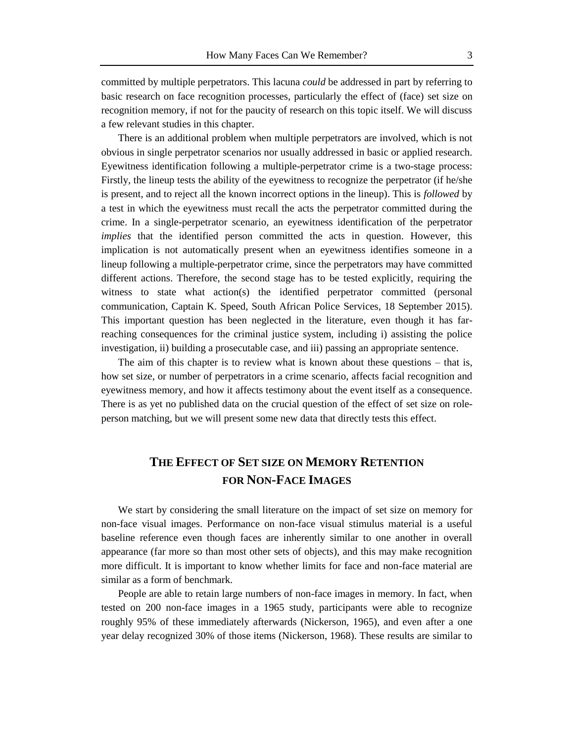committed by multiple perpetrators. This lacuna *could* be addressed in part by referring to basic research on face recognition processes, particularly the effect of (face) set size on recognition memory, if not for the paucity of research on this topic itself. We will discuss a few relevant studies in this chapter.

There is an additional problem when multiple perpetrators are involved, which is not obvious in single perpetrator scenarios nor usually addressed in basic or applied research. Eyewitness identification following a multiple-perpetrator crime is a two-stage process: Firstly, the lineup tests the ability of the eyewitness to recognize the perpetrator (if he/she is present, and to reject all the known incorrect options in the lineup). This is *followed* by a test in which the eyewitness must recall the acts the perpetrator committed during the crime. In a single-perpetrator scenario, an eyewitness identification of the perpetrator *implies* that the identified person committed the acts in question. However, this implication is not automatically present when an eyewitness identifies someone in a lineup following a multiple-perpetrator crime, since the perpetrators may have committed different actions. Therefore, the second stage has to be tested explicitly, requiring the witness to state what action(s) the identified perpetrator committed (personal communication, Captain K. Speed, South African Police Services, 18 September 2015). This important question has been neglected in the literature, even though it has farreaching consequences for the criminal justice system, including i) assisting the police investigation, ii) building a prosecutable case, and iii) passing an appropriate sentence.

The aim of this chapter is to review what is known about these questions – that is, how set size, or number of perpetrators in a crime scenario, affects facial recognition and eyewitness memory, and how it affects testimony about the event itself as a consequence. There is as yet no published data on the crucial question of the effect of set size on roleperson matching, but we will present some new data that directly tests this effect.

## **THE EFFECT OF SET SIZE ON MEMORY RETENTION FOR NON-FACE IMAGES**

We start by considering the small literature on the impact of set size on memory for non-face visual images. Performance on non-face visual stimulus material is a useful baseline reference even though faces are inherently similar to one another in overall appearance (far more so than most other sets of objects), and this may make recognition more difficult. It is important to know whether limits for face and non-face material are similar as a form of benchmark.

People are able to retain large numbers of non-face images in memory. In fact, when tested on 200 non-face images in a 1965 study, participants were able to recognize roughly 95% of these immediately afterwards (Nickerson, 1965), and even after a one year delay recognized 30% of those items (Nickerson, 1968). These results are similar to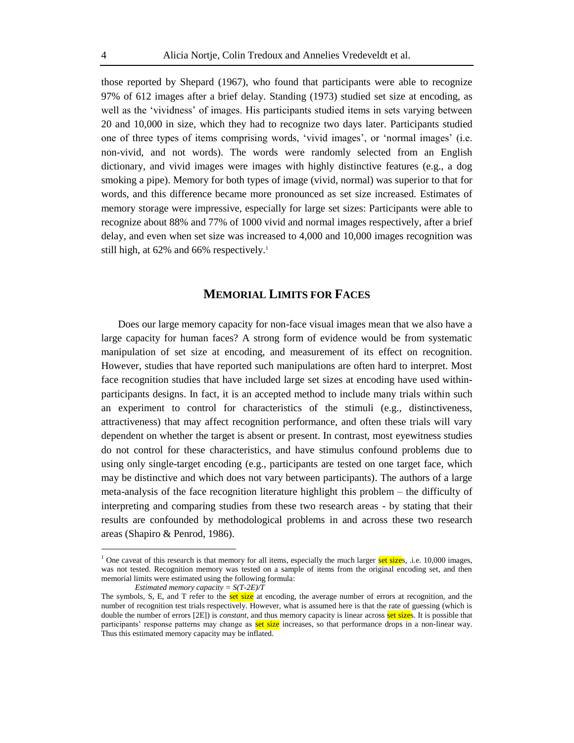those reported by Shepard (1967), who found that participants were able to recognize 97% of 612 images after a brief delay. Standing (1973) studied set size at encoding, as well as the 'vividness' of images. His participants studied items in sets varying between 20 and 10,000 in size, which they had to recognize two days later. Participants studied one of three types of items comprising words, 'vivid images', or 'normal images' (i.e. non-vivid, and not words). The words were randomly selected from an English dictionary, and vivid images were images with highly distinctive features (e.g., a dog smoking a pipe). Memory for both types of image (vivid, normal) was superior to that for words, and this difference became more pronounced as set size increased. Estimates of memory storage were impressive, especially for large set sizes: Participants were able to recognize about 88% and 77% of 1000 vivid and normal images respectively, after a brief delay, and even when set size was increased to 4,000 and 10,000 images recognition was still high, at  $62\%$  and  $66\%$  respectively.<sup>1</sup>

## **MEMORIAL LIMITS FOR FACES**

Does our large memory capacity for non-face visual images mean that we also have a large capacity for human faces? A strong form of evidence would be from systematic manipulation of set size at encoding, and measurement of its effect on recognition. However, studies that have reported such manipulations are often hard to interpret. Most face recognition studies that have included large set sizes at encoding have used withinparticipants designs. In fact, it is an accepted method to include many trials within such an experiment to control for characteristics of the stimuli (e.g., distinctiveness, attractiveness) that may affect recognition performance, and often these trials will vary dependent on whether the target is absent or present. In contrast, most eyewitness studies do not control for these characteristics, and have stimulus confound problems due to using only single-target encoding (e.g., participants are tested on one target face, which may be distinctive and which does not vary between participants). The authors of a large meta-analysis of the face recognition literature highlight this problem – the difficulty of interpreting and comparing studies from these two research areas - by stating that their results are confounded by methodological problems in and across these two research areas (Shapiro & Penrod, 1986).

 $\overline{a}$ 

<sup>&</sup>lt;sup>1</sup> One caveat of this research is that memory for all items, especially the much larger set sizes, .i.e. 10,000 images, was not tested. Recognition memory was tested on a sample of items from the original encoding set, and then memorial limits were estimated using the following formula:

*Estimated memory capacity = S(T-2E)/T*

The symbols, S, E, and T refer to the **set size** at encoding, the average number of errors at recognition, and the number of recognition test trials respectively. However, what is assumed here is that the rate of guessing (which is double the number of errors [2E]) is *constant*, and thus memory capacity is linear across set sizes. It is possible that participants' response patterns may change as set size increases, so that performance drops in a non-linear way. Thus this estimated memory capacity may be inflated.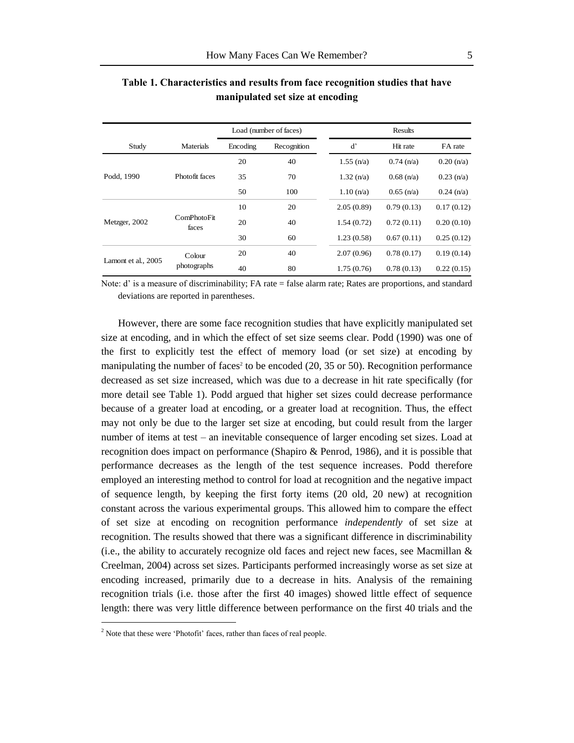|                     |                      |          | Load (number of faces) | Results              |                                                                                    |              |  |
|---------------------|----------------------|----------|------------------------|----------------------|------------------------------------------------------------------------------------|--------------|--|
| Study               | Materials            | Encoding | Recognition            | d'                   | Hit rate                                                                           | FA rate      |  |
|                     |                      | 20       | 40                     | $1.55$ (n/a)         | $0.74$ (n/a)                                                                       | 0.20(n/a)    |  |
| Podd, 1990          | Photofit faces       | 35       | 70                     | $1.32 \text{ (n/a)}$ | $0.68$ (n/a)                                                                       | 0.23(n/a)    |  |
|                     |                      | 50       | 100                    | 1.10(n/a)            | $0.65$ (n/a)<br>0.79(0.13)<br>0.72(0.11)<br>0.67(0.11)<br>0.78(0.17)<br>0.78(0.13) | $0.24$ (n/a) |  |
|                     |                      | 10       | 20                     | 2.05(0.89)           |                                                                                    | 0.17(0.12)   |  |
| Metzger, 2002       | ComPhotoFit<br>faces | 20       | 40                     | 1.54(0.72)           |                                                                                    | 0.20(0.10)   |  |
|                     |                      | 30       | 60                     | 1.23(0.58)           |                                                                                    | 0.25(0.12)   |  |
|                     | Colour               | 20       | 40                     | 2.07(0.96)           |                                                                                    | 0.19(0.14)   |  |
| Lamont et al., 2005 | photographs          | 40       | 80                     | 1.75(0.76)           |                                                                                    | 0.22(0.15)   |  |

## **Table 1. Characteristics and results from face recognition studies that have manipulated set size at encoding**

Note: d' is a measure of discriminability; FA rate = false alarm rate; Rates are proportions, and standard deviations are reported in parentheses.

However, there are some face recognition studies that have explicitly manipulated set size at encoding, and in which the effect of set size seems clear. Podd (1990) was one of the first to explicitly test the effect of memory load (or set size) at encoding by manipulating the number of faces<sup>2</sup> to be encoded  $(20, 35 \text{ or } 50)$ . Recognition performance decreased as set size increased, which was due to a decrease in hit rate specifically (for more detail see Table 1). Podd argued that higher set sizes could decrease performance because of a greater load at encoding, or a greater load at recognition. Thus, the effect may not only be due to the larger set size at encoding, but could result from the larger number of items at test – an inevitable consequence of larger encoding set sizes. Load at recognition does impact on performance (Shapiro & Penrod, 1986), and it is possible that performance decreases as the length of the test sequence increases. Podd therefore employed an interesting method to control for load at recognition and the negative impact of sequence length, by keeping the first forty items (20 old, 20 new) at recognition constant across the various experimental groups. This allowed him to compare the effect of set size at encoding on recognition performance *independently* of set size at recognition. The results showed that there was a significant difference in discriminability (i.e., the ability to accurately recognize old faces and reject new faces, see Macmillan  $\&$ Creelman, 2004) across set sizes. Participants performed increasingly worse as set size at encoding increased, primarily due to a decrease in hits. Analysis of the remaining recognition trials (i.e. those after the first 40 images) showed little effect of sequence length: there was very little difference between performance on the first 40 trials and the

l

<sup>&</sup>lt;sup>2</sup> Note that these were 'Photofit' faces, rather than faces of real people.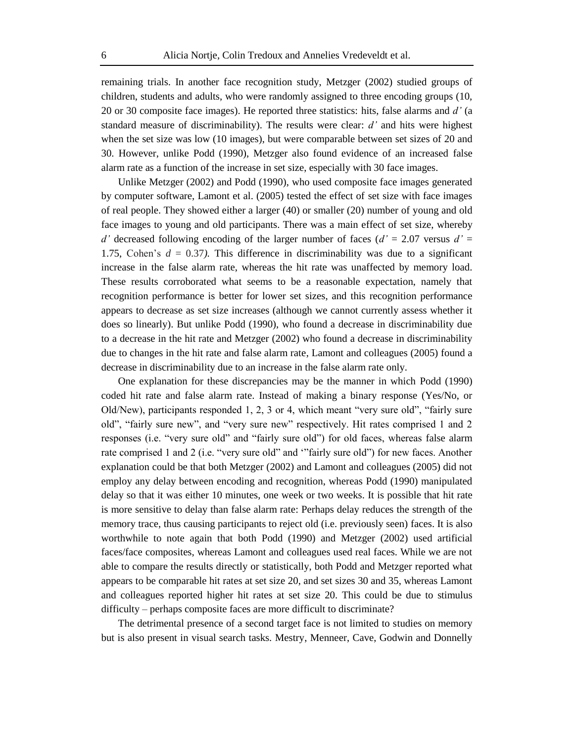remaining trials. In another face recognition study, Metzger (2002) studied groups of children, students and adults, who were randomly assigned to three encoding groups (10, 20 or 30 composite face images). He reported three statistics: hits, false alarms and *d'* (a standard measure of discriminability). The results were clear: *d'* and hits were highest when the set size was low (10 images), but were comparable between set sizes of 20 and 30. However, unlike Podd (1990), Metzger also found evidence of an increased false alarm rate as a function of the increase in set size, especially with 30 face images.

Unlike Metzger (2002) and Podd (1990), who used composite face images generated by computer software, Lamont et al. (2005) tested the effect of set size with face images of real people. They showed either a larger (40) or smaller (20) number of young and old face images to young and old participants. There was a main effect of set size, whereby *d'* decreased following encoding of the larger number of faces  $(d' = 2.07$  versus  $d' =$ 1.75, Cohen's  $d = 0.37$ ). This difference in discriminability was due to a significant increase in the false alarm rate, whereas the hit rate was unaffected by memory load. These results corroborated what seems to be a reasonable expectation, namely that recognition performance is better for lower set sizes, and this recognition performance appears to decrease as set size increases (although we cannot currently assess whether it does so linearly). But unlike Podd (1990), who found a decrease in discriminability due to a decrease in the hit rate and Metzger (2002) who found a decrease in discriminability due to changes in the hit rate and false alarm rate, Lamont and colleagues (2005) found a decrease in discriminability due to an increase in the false alarm rate only.

One explanation for these discrepancies may be the manner in which Podd (1990) coded hit rate and false alarm rate. Instead of making a binary response (Yes/No, or Old/New), participants responded 1, 2, 3 or 4, which meant "very sure old", "fairly sure old", "fairly sure new", and "very sure new" respectively. Hit rates comprised 1 and 2 responses (i.e. "very sure old" and "fairly sure old") for old faces, whereas false alarm rate comprised 1 and 2 (i.e. "very sure old" and '"fairly sure old") for new faces. Another explanation could be that both Metzger (2002) and Lamont and colleagues (2005) did not employ any delay between encoding and recognition, whereas Podd (1990) manipulated delay so that it was either 10 minutes, one week or two weeks. It is possible that hit rate is more sensitive to delay than false alarm rate: Perhaps delay reduces the strength of the memory trace, thus causing participants to reject old (i.e. previously seen) faces. It is also worthwhile to note again that both Podd (1990) and Metzger (2002) used artificial faces/face composites, whereas Lamont and colleagues used real faces. While we are not able to compare the results directly or statistically, both Podd and Metzger reported what appears to be comparable hit rates at set size 20, and set sizes 30 and 35, whereas Lamont and colleagues reported higher hit rates at set size 20. This could be due to stimulus difficulty – perhaps composite faces are more difficult to discriminate?

The detrimental presence of a second target face is not limited to studies on memory but is also present in visual search tasks. Mestry, Menneer, Cave, Godwin and Donnelly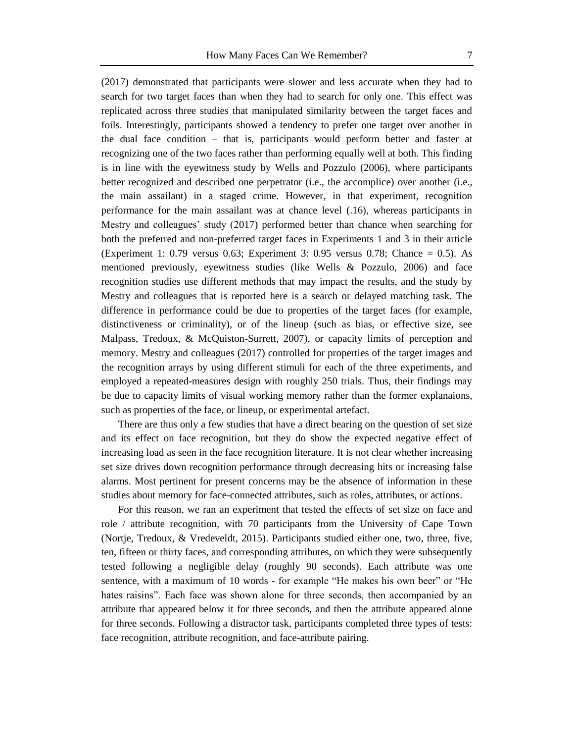(2017) demonstrated that participants were slower and less accurate when they had to search for two target faces than when they had to search for only one. This effect was replicated across three studies that manipulated similarity between the target faces and foils. Interestingly, participants showed a tendency to prefer one target over another in the dual face condition – that is, participants would perform better and faster at recognizing one of the two faces rather than performing equally well at both. This finding is in line with the eyewitness study by Wells and Pozzulo (2006), where participants better recognized and described one perpetrator (i.e., the accomplice) over another (i.e., the main assailant) in a staged crime. However, in that experiment, recognition performance for the main assailant was at chance level (.16), whereas participants in Mestry and colleagues' study (2017) performed better than chance when searching for both the preferred and non-preferred target faces in Experiments 1 and 3 in their article (Experiment 1: 0.79 versus 0.63; Experiment 3: 0.95 versus 0.78; Chance  $= 0.5$ ). As mentioned previously, eyewitness studies (like Wells & Pozzulo, 2006) and face recognition studies use different methods that may impact the results, and the study by Mestry and colleagues that is reported here is a search or delayed matching task. The difference in performance could be due to properties of the target faces (for example, distinctiveness or criminality), or of the lineup (such as bias, or effective size, see Malpass, Tredoux, & McQuiston-Surrett, 2007), or capacity limits of perception and memory. Mestry and colleagues (2017) controlled for properties of the target images and the recognition arrays by using different stimuli for each of the three experiments, and employed a repeated-measures design with roughly 250 trials. Thus, their findings may be due to capacity limits of visual working memory rather than the former explanaions, such as properties of the face, or lineup, or experimental artefact.

There are thus only a few studies that have a direct bearing on the question of set size and its effect on face recognition, but they do show the expected negative effect of increasing load as seen in the face recognition literature. It is not clear whether increasing set size drives down recognition performance through decreasing hits or increasing false alarms. Most pertinent for present concerns may be the absence of information in these studies about memory for face-connected attributes, such as roles, attributes, or actions.

For this reason, we ran an experiment that tested the effects of set size on face and role / attribute recognition, with 70 participants from the University of Cape Town (Nortje, Tredoux, & Vredeveldt, 2015). Participants studied either one, two, three, five, ten, fifteen or thirty faces, and corresponding attributes, on which they were subsequently tested following a negligible delay (roughly 90 seconds). Each attribute was one sentence, with a maximum of 10 words - for example "He makes his own beer" or "He hates raisins". Each face was shown alone for three seconds, then accompanied by an attribute that appeared below it for three seconds, and then the attribute appeared alone for three seconds. Following a distractor task, participants completed three types of tests: face recognition, attribute recognition, and face-attribute pairing.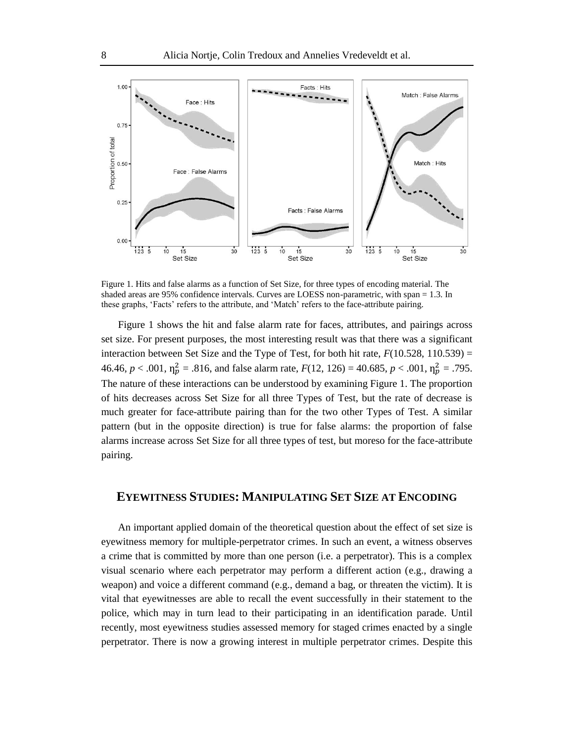

Figure 1. Hits and false alarms as a function of Set Size, for three types of encoding material. The shaded areas are 95% confidence intervals. Curves are LOESS non-parametric, with span = 1.3. In these graphs, 'Facts' refers to the attribute, and 'Match' refers to the face-attribute pairing.

Figure 1 shows the hit and false alarm rate for faces, attributes, and pairings across set size. For present purposes, the most interesting result was that there was a significant interaction between Set Size and the Type of Test, for both hit rate,  $F(10.528, 110.539) =$ 46.46,  $p < .001$ ,  $\eta_p^2 = .816$ , and false alarm rate,  $F(12, 126) = 40.685$ ,  $p < .001$ ,  $\eta_p^2 = .795$ . The nature of these interactions can be understood by examining Figure 1. The proportion of hits decreases across Set Size for all three Types of Test, but the rate of decrease is much greater for face-attribute pairing than for the two other Types of Test. A similar pattern (but in the opposite direction) is true for false alarms: the proportion of false alarms increase across Set Size for all three types of test, but moreso for the face-attribute pairing.

## **EYEWITNESS STUDIES: MANIPULATING SET SIZE AT ENCODING**

An important applied domain of the theoretical question about the effect of set size is eyewitness memory for multiple-perpetrator crimes. In such an event, a witness observes a crime that is committed by more than one person (i.e. a perpetrator). This is a complex visual scenario where each perpetrator may perform a different action (e.g., drawing a weapon) and voice a different command (e.g., demand a bag, or threaten the victim). It is vital that eyewitnesses are able to recall the event successfully in their statement to the police, which may in turn lead to their participating in an identification parade. Until recently, most eyewitness studies assessed memory for staged crimes enacted by a single perpetrator. There is now a growing interest in multiple perpetrator crimes. Despite this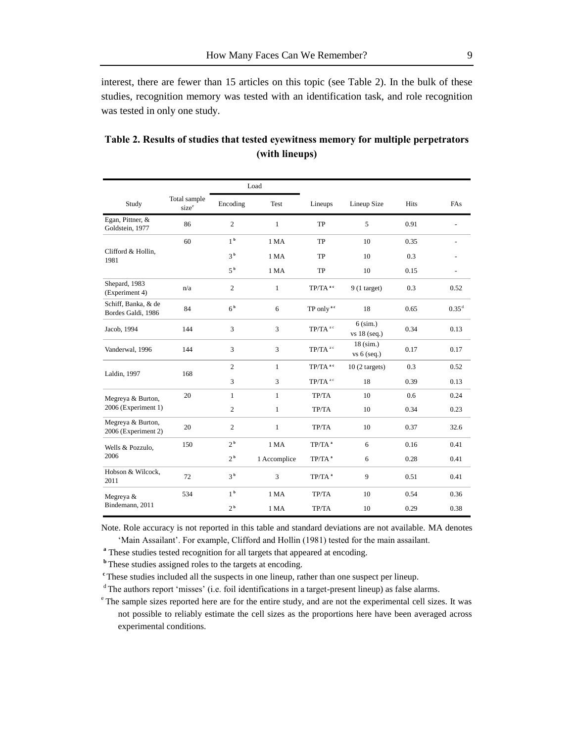interest, there are fewer than 15 articles on this topic (see Table 2). In the bulk of these studies, recognition memory was tested with an identification task, and role recognition was tested in only one study.

|                                           |                                   | Load           |                |                       |                            |      |                   |
|-------------------------------------------|-----------------------------------|----------------|----------------|-----------------------|----------------------------|------|-------------------|
| Study                                     | Total sample<br>size <sup>e</sup> | Encoding       | Test           | Lineups               | Lineup Size                | Hits | FAs               |
| Egan, Pittner, &<br>Goldstein, 1977       | 86                                | $\mathbf{2}$   | $\mathbf{1}$   | TP                    | 5                          | 0.91 |                   |
| Clifford & Hollin,<br>1981                | 60                                | 1 <sup>b</sup> | 1 MA           | <b>TP</b>             | 10                         | 0.35 |                   |
|                                           |                                   | 3 <sup>b</sup> | 1 MA           | TP                    | 10                         | 0.3  |                   |
|                                           |                                   | 5 <sup>b</sup> | 1 MA           | TP                    | 10                         | 0.15 | $\overline{a}$    |
| Shepard, 1983<br>(Experiment 4)           | n/a                               | 2              | $\mathbf{1}$   | TP/TA <sup>ac</sup>   | $9(1$ target)              | 0.3  | 0.52              |
| Schiff, Banka, & de<br>Bordes Galdi, 1986 | 84                                | 6 <sup>b</sup> | 6              | TP only <sup>ac</sup> | 18                         | 0.65 | 0.35 <sup>d</sup> |
| Jacob, 1994                               | 144                               | $\overline{3}$ | $\overline{3}$ | TP/TA <sup>ac</sup>   | $6$ (sim.)<br>vs 18 (seq.) | 0.34 | 0.13              |
| Vanderwal, 1996                           | 144                               | $\overline{3}$ | $\overline{3}$ | TP/TA <sup>ac</sup>   | $18$ (sim.)<br>vs 6 (seq.) | 0.17 | 0.17              |
| Laldin, 1997                              | 168                               | $\sqrt{2}$     | $\mathbf{1}$   | TP/TA <sup>ac</sup>   | $10(2 \text{ targets})$    | 0.3  | 0.52              |
|                                           |                                   | $\overline{3}$ | 3              | TP/TA <sup>ac</sup>   | 18                         | 0.39 | 0.13              |
| Megreya & Burton,<br>2006 (Experiment 1)  | 20                                | $\mathbf{1}$   | $\mathbf{1}$   | TP/TA                 | 10                         | 0.6  | 0.24              |
|                                           |                                   | $\overline{2}$ | $\mathbf{1}$   | TP/TA                 | 10                         | 0.34 | 0.23              |
| Megreya & Burton,<br>2006 (Experiment 2)  | 20                                | $\sqrt{2}$     | $\mathbf{1}$   | TP/TA                 | 10                         | 0.37 | 32.6              |
| Wells & Pozzulo,<br>2006                  | 150                               | 2 <sup>b</sup> | 1 MA           | TP/TA <sup>a</sup>    | 6                          | 0.16 | 0.41              |
|                                           |                                   | 2 <sup>b</sup> | 1 Accomplice   | TP/TA <sup>a</sup>    | 6                          | 0.28 | 0.41              |
| Hobson & Wilcock,<br>2011                 | 72                                | 3 <sup>b</sup> | $\overline{3}$ | TP/TA <sup>a</sup>    | $\mathbf{Q}$               | 0.51 | 0.41              |
| Megreya &<br>Bindemann, 2011              | 534                               | 1 <sup>b</sup> | 1 MA           | TP/TA                 | 10                         | 0.54 | 0.36              |
|                                           |                                   | 2 <sup>b</sup> | 1 MA           | TP/TA                 | 10                         | 0.29 | 0.38              |

## **Table 2. Results of studies that tested eyewitness memory for multiple perpetrators (with lineups)**

Note. Role accuracy is not reported in this table and standard deviations are not available. MA denotes 'Main Assailant'. For example, Clifford and Hollin (1981) tested for the main assailant.

<sup>a</sup> These studies tested recognition for all targets that appeared at encoding.

**b**These studies assigned roles to the targets at encoding.

<sup>c</sup>These studies included all the suspects in one lineup, rather than one suspect per lineup.

<sup>d</sup>The authors report 'misses' (i.e. foil identifications in a target-present lineup) as false alarms.

<sup>e</sup> The sample sizes reported here are for the entire study, and are not the experimental cell sizes. It was not possible to reliably estimate the cell sizes as the proportions here have been averaged across experimental conditions.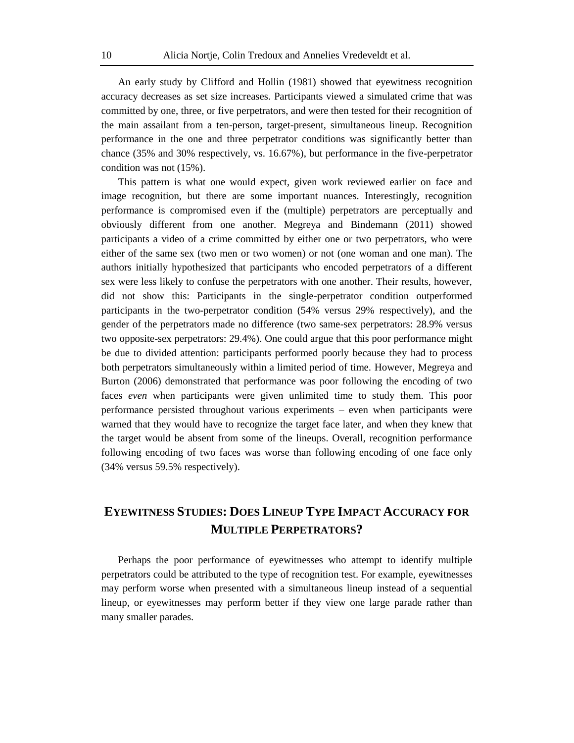An early study by Clifford and Hollin (1981) showed that eyewitness recognition accuracy decreases as set size increases. Participants viewed a simulated crime that was committed by one, three, or five perpetrators, and were then tested for their recognition of the main assailant from a ten-person, target-present, simultaneous lineup. Recognition performance in the one and three perpetrator conditions was significantly better than chance (35% and 30% respectively, vs. 16.67%), but performance in the five-perpetrator condition was not (15%).

This pattern is what one would expect, given work reviewed earlier on face and image recognition, but there are some important nuances. Interestingly, recognition performance is compromised even if the (multiple) perpetrators are perceptually and obviously different from one another. Megreya and Bindemann (2011) showed participants a video of a crime committed by either one or two perpetrators, who were either of the same sex (two men or two women) or not (one woman and one man). The authors initially hypothesized that participants who encoded perpetrators of a different sex were less likely to confuse the perpetrators with one another. Their results, however, did not show this: Participants in the single-perpetrator condition outperformed participants in the two-perpetrator condition (54% versus 29% respectively), and the gender of the perpetrators made no difference (two same-sex perpetrators: 28.9% versus two opposite-sex perpetrators: 29.4%). One could argue that this poor performance might be due to divided attention: participants performed poorly because they had to process both perpetrators simultaneously within a limited period of time. However, Megreya and Burton (2006) demonstrated that performance was poor following the encoding of two faces *even* when participants were given unlimited time to study them. This poor performance persisted throughout various experiments – even when participants were warned that they would have to recognize the target face later, and when they knew that the target would be absent from some of the lineups. Overall, recognition performance following encoding of two faces was worse than following encoding of one face only (34% versus 59.5% respectively).

# **EYEWITNESS STUDIES: DOES LINEUP TYPE IMPACT ACCURACY FOR MULTIPLE PERPETRATORS?**

Perhaps the poor performance of eyewitnesses who attempt to identify multiple perpetrators could be attributed to the type of recognition test. For example, eyewitnesses may perform worse when presented with a simultaneous lineup instead of a sequential lineup, or eyewitnesses may perform better if they view one large parade rather than many smaller parades.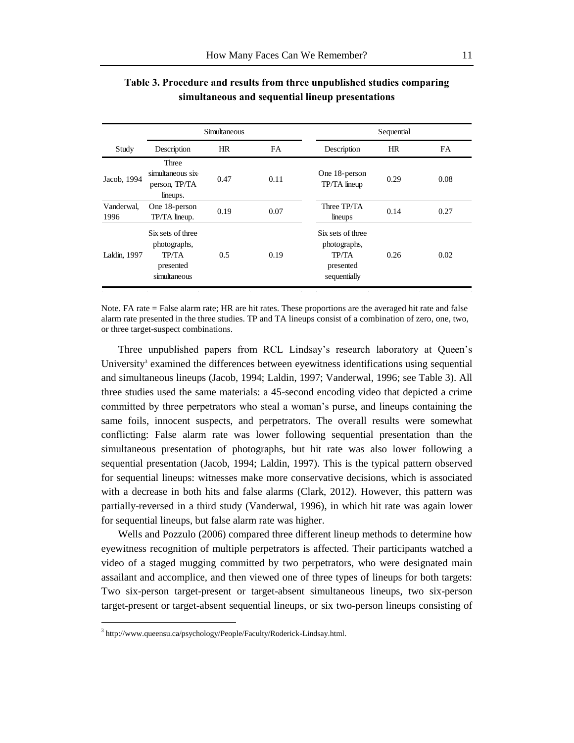|                    | Simultaneous                                                            |      |           | Sequential                                                                     |      |           |  |
|--------------------|-------------------------------------------------------------------------|------|-----------|--------------------------------------------------------------------------------|------|-----------|--|
| Study              | Description                                                             | HR   | <b>FA</b> | Description                                                                    | HR   | <b>FA</b> |  |
| Jacob, 1994        | Three<br>simultaneous six-<br>person, TP/TA<br>lineups.                 | 0.47 | 0.11      | One 18-person<br>TP/TA lineup                                                  | 0.29 | 0.08      |  |
| Vanderwal,<br>1996 | One 18-person<br>TP/TA lineup.                                          | 0.19 | 0.07      | Three TP/TA<br>lineups                                                         | 0.14 | 0.27      |  |
| Laldin, 1997       | Six sets of three<br>photographs,<br>TP/TA<br>presented<br>simultaneous | 0.5  | 0.19      | Six sets of three<br>photographs,<br><b>TP/TA</b><br>presented<br>sequentially | 0.26 | 0.02      |  |

**Table 3. Procedure and results from three unpublished studies comparing simultaneous and sequential lineup presentations**

Note. FA rate = False alarm rate; HR are hit rates. These proportions are the averaged hit rate and false alarm rate presented in the three studies. TP and TA lineups consist of a combination of zero, one, two, or three target-suspect combinations.

Three unpublished papers from RCL Lindsay's research laboratory at Queen's University<sup>3</sup> examined the differences between eyewitness identifications using sequential and simultaneous lineups (Jacob, 1994; Laldin, 1997; Vanderwal, 1996; see Table 3). All three studies used the same materials: a 45-second encoding video that depicted a crime committed by three perpetrators who steal a woman's purse, and lineups containing the same foils, innocent suspects, and perpetrators. The overall results were somewhat conflicting: False alarm rate was lower following sequential presentation than the simultaneous presentation of photographs, but hit rate was also lower following a sequential presentation (Jacob, 1994; Laldin, 1997). This is the typical pattern observed for sequential lineups: witnesses make more conservative decisions, which is associated with a decrease in both hits and false alarms (Clark, 2012). However, this pattern was partially-reversed in a third study (Vanderwal, 1996), in which hit rate was again lower for sequential lineups, but false alarm rate was higher.

Wells and Pozzulo (2006) compared three different lineup methods to determine how eyewitness recognition of multiple perpetrators is affected. Their participants watched a video of a staged mugging committed by two perpetrators, who were designated main assailant and accomplice, and then viewed one of three types of lineups for both targets: Two six-person target-present or target-absent simultaneous lineups, two six-person target-present or target-absent sequential lineups, or six two-person lineups consisting of

l

<sup>&</sup>lt;sup>3</sup> http://www.queensu.ca/psychology/People/Faculty/Roderick-Lindsay.html.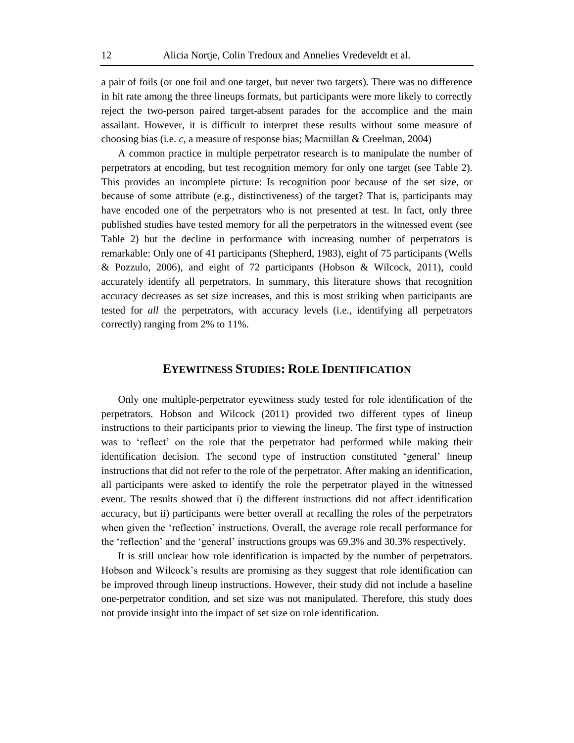a pair of foils (or one foil and one target, but never two targets). There was no difference in hit rate among the three lineups formats, but participants were more likely to correctly reject the two-person paired target-absent parades for the accomplice and the main assailant. However, it is difficult to interpret these results without some measure of choosing bias (i.e. *c*, a measure of response bias; Macmillan & Creelman, 2004)

A common practice in multiple perpetrator research is to manipulate the number of perpetrators at encoding, but test recognition memory for only one target (see Table 2). This provides an incomplete picture: Is recognition poor because of the set size, or because of some attribute (e.g., distinctiveness) of the target? That is, participants may have encoded one of the perpetrators who is not presented at test. In fact, only three published studies have tested memory for all the perpetrators in the witnessed event (see Table 2) but the decline in performance with increasing number of perpetrators is remarkable: Only one of 41 participants (Shepherd, 1983), eight of 75 participants (Wells & Pozzulo, 2006), and eight of 72 participants (Hobson & Wilcock, 2011), could accurately identify all perpetrators. In summary, this literature shows that recognition accuracy decreases as set size increases, and this is most striking when participants are tested for *all* the perpetrators, with accuracy levels (i.e., identifying all perpetrators correctly) ranging from 2% to 11%.

### **EYEWITNESS STUDIES: ROLE IDENTIFICATION**

Only one multiple-perpetrator eyewitness study tested for role identification of the perpetrators. Hobson and Wilcock (2011) provided two different types of lineup instructions to their participants prior to viewing the lineup. The first type of instruction was to 'reflect' on the role that the perpetrator had performed while making their identification decision. The second type of instruction constituted 'general' lineup instructions that did not refer to the role of the perpetrator. After making an identification, all participants were asked to identify the role the perpetrator played in the witnessed event. The results showed that i) the different instructions did not affect identification accuracy, but ii) participants were better overall at recalling the roles of the perpetrators when given the 'reflection' instructions. Overall, the average role recall performance for the 'reflection' and the 'general' instructions groups was 69.3% and 30.3% respectively.

It is still unclear how role identification is impacted by the number of perpetrators. Hobson and Wilcock's results are promising as they suggest that role identification can be improved through lineup instructions. However, their study did not include a baseline one-perpetrator condition, and set size was not manipulated. Therefore, this study does not provide insight into the impact of set size on role identification.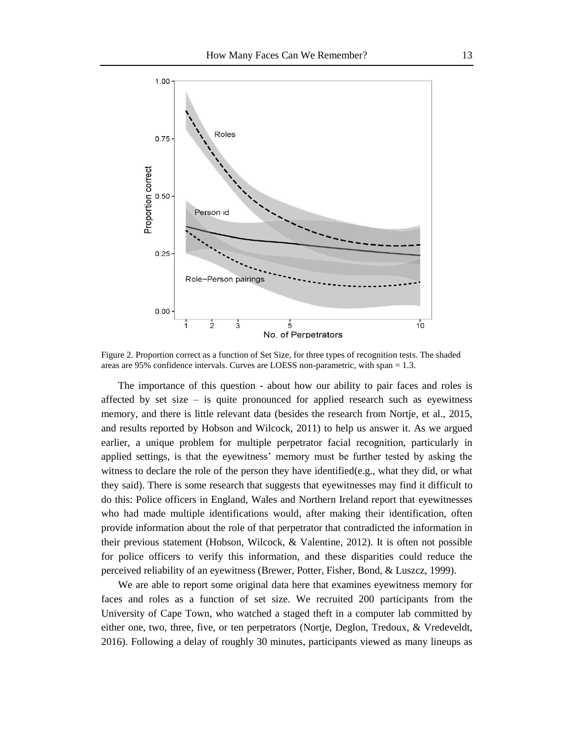

Figure 2. Proportion correct as a function of Set Size, for three types of recognition tests. The shaded areas are 95% confidence intervals. Curves are LOESS non-parametric, with span = 1.3.

The importance of this question - about how our ability to pair faces and roles is affected by set size – is quite pronounced for applied research such as eyewitness memory, and there is little relevant data (besides the research from Nortje, et al., 2015, and results reported by Hobson and Wilcock, 2011) to help us answer it. As we argued earlier, a unique problem for multiple perpetrator facial recognition, particularly in applied settings, is that the eyewitness' memory must be further tested by asking the witness to declare the role of the person they have identified(e.g., what they did, or what they said). There is some research that suggests that eyewitnesses may find it difficult to do this: Police officers in England, Wales and Northern Ireland report that eyewitnesses who had made multiple identifications would, after making their identification, often provide information about the role of that perpetrator that contradicted the information in their previous statement (Hobson, Wilcock, & Valentine, 2012). It is often not possible for police officers to verify this information, and these disparities could reduce the perceived reliability of an eyewitness (Brewer, Potter, Fisher, Bond, & Luszcz, 1999).

We are able to report some original data here that examines eyewitness memory for faces and roles as a function of set size. We recruited 200 participants from the University of Cape Town, who watched a staged theft in a computer lab committed by either one, two, three, five, or ten perpetrators (Nortje, Deglon, Tredoux, & Vredeveldt, 2016). Following a delay of roughly 30 minutes, participants viewed as many lineups as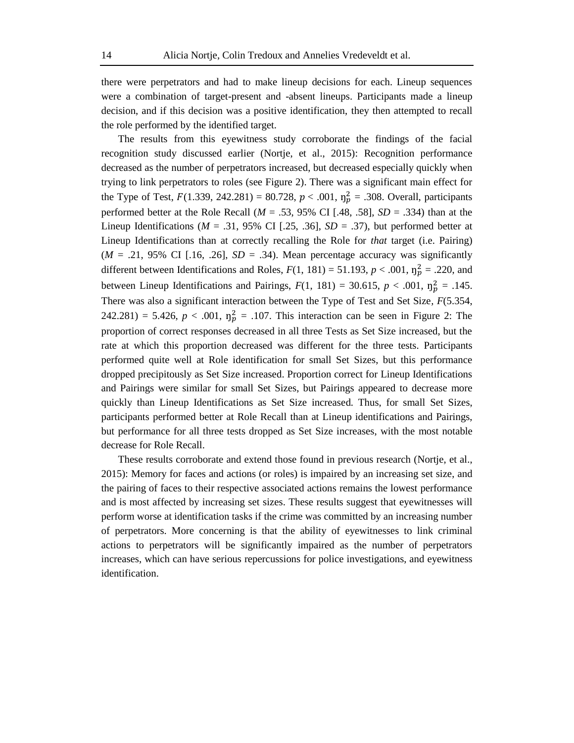there were perpetrators and had to make lineup decisions for each. Lineup sequences were a combination of target-present and -absent lineups. Participants made a lineup decision, and if this decision was a positive identification, they then attempted to recall the role performed by the identified target.

The results from this eyewitness study corroborate the findings of the facial recognition study discussed earlier (Nortje, et al., 2015): Recognition performance decreased as the number of perpetrators increased, but decreased especially quickly when trying to link perpetrators to roles (see Figure 2). There was a significant main effect for the Type of Test,  $F(1.339, 242.281) = 80.728$ ,  $p < .001$ ,  $\eta_p^2 = .308$ . Overall, participants performed better at the Role Recall ( $M = .53$ , 95% CI [.48, .58],  $SD = .334$ ) than at the Lineup Identifications ( $M = .31$ , 95% CI [.25, .36],  $SD = .37$ ), but performed better at Lineup Identifications than at correctly recalling the Role for *that* target (i.e. Pairing)  $(M = .21, 95\% \text{ CI}$  [.16, .26],  $SD = .34$ ). Mean percentage accuracy was significantly different between Identifications and Roles,  $F(1, 181) = 51.193$ ,  $p < .001$ ,  $\eta_p^2 = .220$ , and between Lineup Identifications and Pairings,  $F(1, 181) = 30.615$ ,  $p < .001$ ,  $\eta_p^2 = .145$ . There was also a significant interaction between the Type of Test and Set Size*, F*(5.354, 242.281) = 5.426,  $p < .001$ ,  $\eta_p^2 = .107$ . This interaction can be seen in Figure 2: The proportion of correct responses decreased in all three Tests as Set Size increased, but the rate at which this proportion decreased was different for the three tests. Participants performed quite well at Role identification for small Set Sizes, but this performance dropped precipitously as Set Size increased. Proportion correct for Lineup Identifications and Pairings were similar for small Set Sizes, but Pairings appeared to decrease more quickly than Lineup Identifications as Set Size increased. Thus, for small Set Sizes, participants performed better at Role Recall than at Lineup identifications and Pairings, but performance for all three tests dropped as Set Size increases, with the most notable decrease for Role Recall.

These results corroborate and extend those found in previous research (Nortje, et al., 2015): Memory for faces and actions (or roles) is impaired by an increasing set size, and the pairing of faces to their respective associated actions remains the lowest performance and is most affected by increasing set sizes. These results suggest that eyewitnesses will perform worse at identification tasks if the crime was committed by an increasing number of perpetrators. More concerning is that the ability of eyewitnesses to link criminal actions to perpetrators will be significantly impaired as the number of perpetrators increases, which can have serious repercussions for police investigations, and eyewitness identification.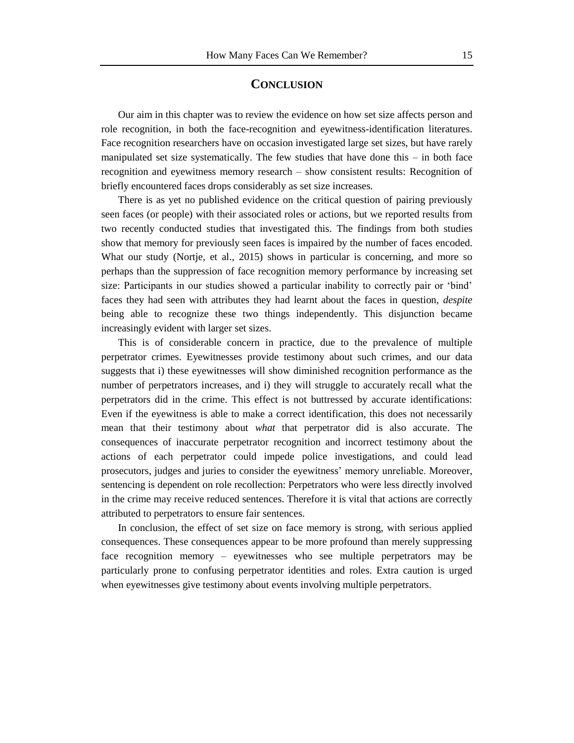#### **CONCLUSION**

Our aim in this chapter was to review the evidence on how set size affects person and role recognition, in both the face-recognition and eyewitness-identification literatures. Face recognition researchers have on occasion investigated large set sizes, but have rarely manipulated set size systematically. The few studies that have done this – in both face recognition and eyewitness memory research – show consistent results: Recognition of briefly encountered faces drops considerably as set size increases.

There is as yet no published evidence on the critical question of pairing previously seen faces (or people) with their associated roles or actions, but we reported results from two recently conducted studies that investigated this. The findings from both studies show that memory for previously seen faces is impaired by the number of faces encoded. What our study (Nortje, et al., 2015) shows in particular is concerning, and more so perhaps than the suppression of face recognition memory performance by increasing set size: Participants in our studies showed a particular inability to correctly pair or 'bind' faces they had seen with attributes they had learnt about the faces in question, *despite* being able to recognize these two things independently. This disjunction became increasingly evident with larger set sizes.

This is of considerable concern in practice, due to the prevalence of multiple perpetrator crimes. Eyewitnesses provide testimony about such crimes, and our data suggests that i) these eyewitnesses will show diminished recognition performance as the number of perpetrators increases, and i) they will struggle to accurately recall what the perpetrators did in the crime. This effect is not buttressed by accurate identifications: Even if the eyewitness is able to make a correct identification, this does not necessarily mean that their testimony about *what* that perpetrator did is also accurate. The consequences of inaccurate perpetrator recognition and incorrect testimony about the actions of each perpetrator could impede police investigations, and could lead prosecutors, judges and juries to consider the eyewitness' memory unreliable. Moreover, sentencing is dependent on role recollection: Perpetrators who were less directly involved in the crime may receive reduced sentences. Therefore it is vital that actions are correctly attributed to perpetrators to ensure fair sentences.

In conclusion, the effect of set size on face memory is strong, with serious applied consequences. These consequences appear to be more profound than merely suppressing face recognition memory – eyewitnesses who see multiple perpetrators may be particularly prone to confusing perpetrator identities and roles. Extra caution is urged when eyewitnesses give testimony about events involving multiple perpetrators.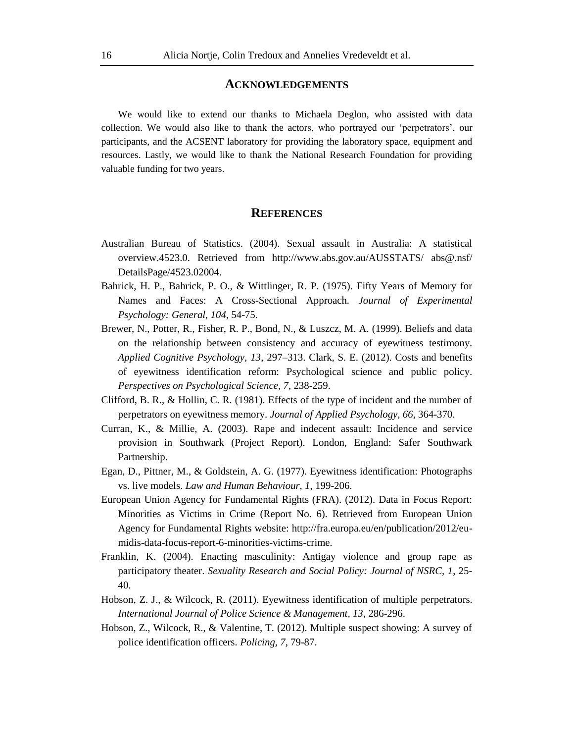#### **ACKNOWLEDGEMENTS**

We would like to extend our thanks to Michaela Deglon, who assisted with data collection. We would also like to thank the actors, who portrayed our 'perpetrators', our participants, and the ACSENT laboratory for providing the laboratory space, equipment and resources. Lastly, we would like to thank the National Research Foundation for providing valuable funding for two years.

#### **REFERENCES**

- Australian Bureau of Statistics. (2004). Sexual assault in Australia: A statistical overview.4523.0. Retrieved from http://www.abs.gov.au/AUSSTATS/ abs@.nsf/ DetailsPage/4523.02004.
- Bahrick, H. P., Bahrick, P. O., & Wittlinger, R. P. (1975). Fifty Years of Memory for Names and Faces: A Cross-Sectional Approach. *Journal of Experimental Psychology: General, 104*, 54-75.
- Brewer, N., Potter, R., Fisher, R. P., Bond, N., & Luszcz, M. A. (1999). Beliefs and data on the relationship between consistency and accuracy of eyewitness testimony. *Applied Cognitive Psychology, 13*, 297–313. Clark, S. E. (2012). Costs and benefits of eyewitness identification reform: Psychological science and public policy. *Perspectives on Psychological Science, 7*, 238-259.
- Clifford, B. R., & Hollin, C. R. (1981). Effects of the type of incident and the number of perpetrators on eyewitness memory. *Journal of Applied Psychology, 66*, 364-370.
- Curran, K., & Millie, A. (2003). Rape and indecent assault: Incidence and service provision in Southwark (Project Report). London, England: Safer Southwark Partnership.
- Egan, D., Pittner, M., & Goldstein, A. G. (1977). Eyewitness identification: Photographs vs. live models. *Law and Human Behaviour, 1*, 199-206.
- European Union Agency for Fundamental Rights (FRA). (2012). Data in Focus Report: Minorities as Victims in Crime (Report No. 6). Retrieved from European Union Agency for Fundamental Rights website: http://fra.europa.eu/en/publication/2012/eumidis-data-focus-report-6-minorities-victims-crime.
- Franklin, K. (2004). Enacting masculinity: Antigay violence and group rape as participatory theater. *Sexuality Research and Social Policy: Journal of NSRC, 1*, 25- 40.
- Hobson, Z. J., & Wilcock, R. (2011). Eyewitness identification of multiple perpetrators. *International Journal of Police Science & Management, 13*, 286-296.
- Hobson, Z., Wilcock, R., & Valentine, T. (2012). Multiple suspect showing: A survey of police identification officers. *Policing, 7*, 79-87.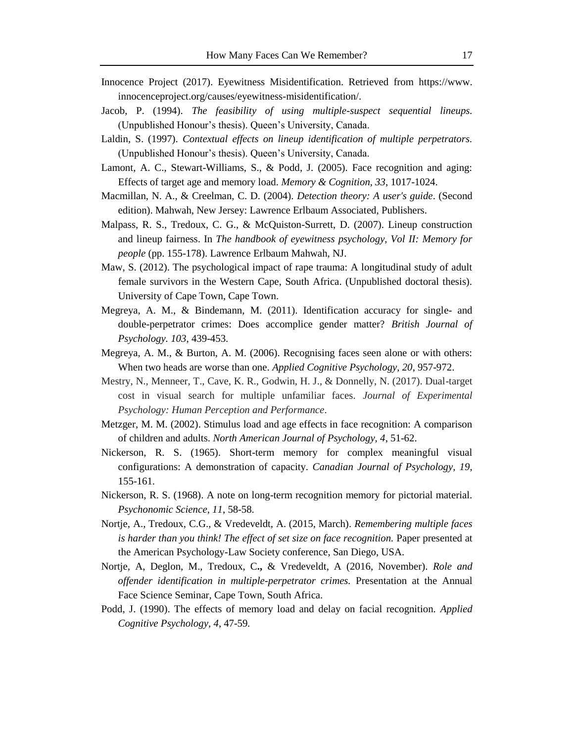- Innocence Project (2017). Eyewitness Misidentification. Retrieved from https://www. innocenceproject.org/causes/eyewitness-misidentification/.
- Jacob, P. (1994). *The feasibility of using multiple-suspect sequential lineups.* (Unpublished Honour's thesis). Queen's University, Canada.
- Laldin, S. (1997). *Contextual effects on lineup identification of multiple perpetrators.*  (Unpublished Honour's thesis). Queen's University, Canada.
- Lamont, A. C., Stewart-Williams, S., & Podd, J. (2005). Face recognition and aging: Effects of target age and memory load. *Memory & Cognition, 33*, 1017-1024.
- Macmillan, N. A., & Creelman, C. D. (2004). *Detection theory: A user's guide*. (Second edition). Mahwah, New Jersey: Lawrence Erlbaum Associated, Publishers.
- Malpass, R. S., Tredoux, C. G., & McQuiston-Surrett, D. (2007). Lineup construction and lineup fairness. In *The handbook of eyewitness psychology, Vol II: Memory for people* (pp. 155-178). Lawrence Erlbaum Mahwah, NJ.
- Maw, S. (2012). The psychological impact of rape trauma: A longitudinal study of adult female survivors in the Western Cape, South Africa. (Unpublished doctoral thesis). University of Cape Town, Cape Town.
- Megreya, A. M., & Bindemann, M. (2011). Identification accuracy for single- and double-perpetrator crimes: Does accomplice gender matter? *British Journal of Psychology. 103*, 439-453.
- Megreya, A. M., & Burton, A. M. (2006). Recognising faces seen alone or with others: When two heads are worse than one. *Applied Cognitive Psychology, 20*, 957-972.
- Mestry, N., Menneer, T., Cave, K. R., Godwin, H. J., & Donnelly, N. (2017). Dual-target cost in visual search for multiple unfamiliar faces. *Journal of Experimental Psychology: Human Perception and Performance*.
- Metzger, M. M. (2002). Stimulus load and age effects in face recognition: A comparison of children and adults. *North American Journal of Psychology, 4*, 51-62.
- Nickerson, R. S. (1965). Short-term memory for complex meaningful visual configurations: A demonstration of capacity. *Canadian Journal of Psychology, 19*, 155-161.
- Nickerson, R. S. (1968). A note on long-term recognition memory for pictorial material. *Psychonomic Science, 11*, 58-58.
- Nortje, A., Tredoux, C.G., & Vredeveldt, A. (2015, March). *Remembering multiple faces is harder than you think! The effect of set size on face recognition.* Paper presented at the American Psychology-Law Society conference, San Diego, USA.
- Nortje, A, Deglon, M., Tredoux, C**.,** & Vredeveldt, A (2016, November). *Role and offender identification in multiple-perpetrator crimes.* Presentation at the Annual Face Science Seminar, Cape Town, South Africa.
- Podd, J. (1990). The effects of memory load and delay on facial recognition. *Applied Cognitive Psychology, 4*, 47-59*.*